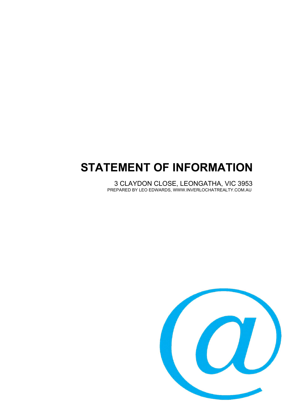# **STATEMENT OF INFORMATION**

3 CLAYDON CLOSE, LEONGATHA, VIC 3953 PREPARED BY LEO EDWARDS, WWW.INVERLOCHATREALTY.COM.AU